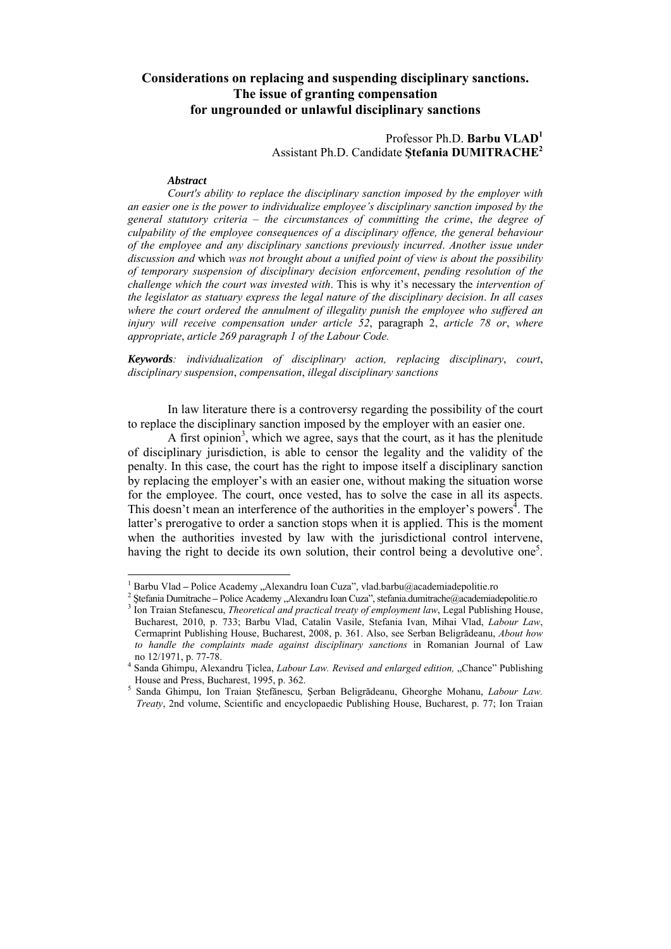## **Considerations on replacing and suspending disciplinary sanctions. The issue of granting compensation for ungrounded or unlawful disciplinary sanctions**

## Professor Ph.D. **Barbu VLAD<sup>1</sup>** Assistant Ph.D. Candidate **Ştefania DUMITRACHE2**

## *Abstract*

*Court's ability to replace the disciplinary sanction imposed by the employer with an easier one is the power to individualize employee's disciplinary sanction imposed by the general statutory criteria* – *the circumstances of committing the crime*, *the degree of culpability of the employee consequences of a disciplinary offence, the general behaviour of the employee and any disciplinary sanctions previously incurred*. *Another issue under discussion and* which *was not brought about a unified point of view is about the possibility of temporary suspension of disciplinary decision enforcement*, *pending resolution of the challenge which the court was invested with*. This is why it's necessary the *intervention of the legislator as statuary express the legal nature of the disciplinary decision*. *In all cases where the court ordered the annulment of illegality punish the employee who suffered an injury will receive compensation under article 52*, paragraph 2, *article 78 or*, *where appropriate*, *article 269 paragraph 1 of the Labour Code.*

*Keywords: individualization of disciplinary action, replacing disciplinary*, *court*, *disciplinary suspension*, *compensation*, *illegal disciplinary sanctions*

In law literature there is a controversy regarding the possibility of the court to replace the disciplinary sanction imposed by the employer with an easier one.

A first opinion<sup>3</sup>, which we agree, says that the court, as it has the plenitude of disciplinary jurisdiction, is able to censor the legality and the validity of the penalty. In this case, the court has the right to impose itself a disciplinary sanction by replacing the employer's with an easier one, without making the situation worse for the employee. The court, once vested, has to solve the case in all its aspects. This doesn't mean an interference of the authorities in the employer's powers<sup> $\lambda$ </sup>. The latter's prerogative to order a sanction stops when it is applied. This is the moment when the authorities invested by law with the jurisdictional control intervene, having the right to decide its own solution, their control being a devolutive one<sup>5</sup>.

 $\frac{1}{1}$ 

<sup>&</sup>lt;sup>2</sup> Stefania Dumitrache – Police Academy "Alexandru Ioan Cuza", stefania dumitrache @academiadepolitie.ro

<sup>&</sup>lt;sup>3</sup> Ion Traian Stefanescu, *Theoretical and practical treaty of employment law*, Legal Publishing House, Bucharest, 2010, p. 733; Barbu Vlad, Catalin Vasile, Stefania Ivan, Mihai Vlad, *Labour Law*, Cermaprint Publishing House, Bucharest, 2008, p. 361. Also, see Serban Beligrădeanu, *About how to handle the complaints made against disciplinary sanctions* in Romanian Journal of Law no 12/1971, p. 77-78.

<sup>&</sup>lt;sup>4</sup> Sanda Ghimpu, Alexandru Țiclea, *Labour Law. Revised and enlarged edition*, "Chance" Publishing House and Press, Bucharest, 1995, p. 362.

Sanda Ghimpu, Ion Traian Ştefănescu, Şerban Beligrădeanu, Gheorghe Mohanu, *Labour Law. Treaty*, 2nd volume, Scientific and encyclopaedic Publishing House, Bucharest, p. 77; Ion Traian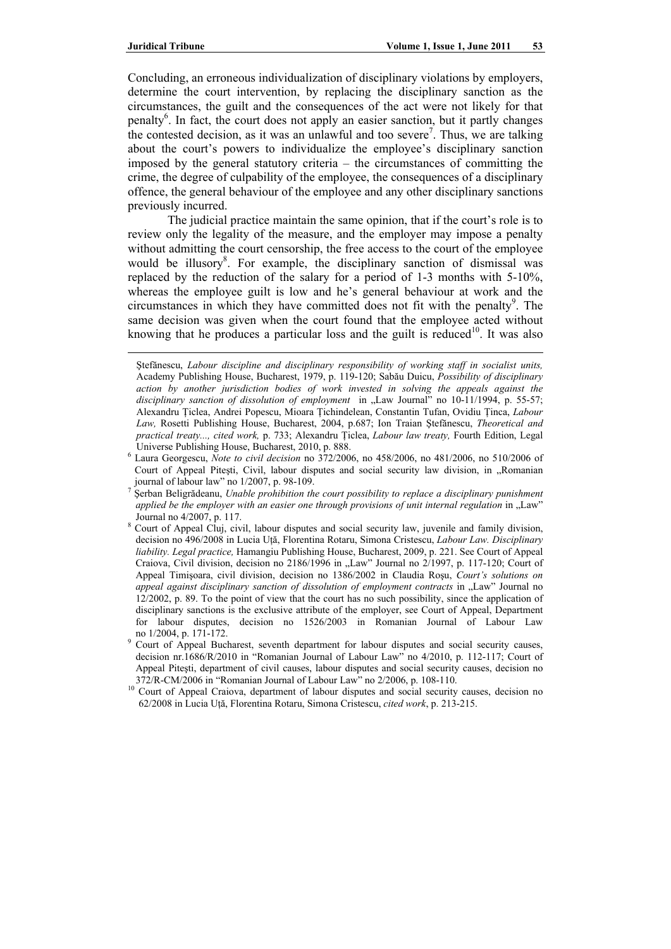$\overline{a}$ 

Concluding, an erroneous individualization of disciplinary violations by employers, determine the court intervention, by replacing the disciplinary sanction as the circumstances, the guilt and the consequences of the act were not likely for that penalty<sup>6</sup>. In fact, the court does not apply an easier sanction, but it partly changes the contested decision, as it was an unlawful and too severe<sup>7</sup>. Thus, we are talking about the court's powers to individualize the employee's disciplinary sanction imposed by the general statutory criteria – the circumstances of committing the crime, the degree of culpability of the employee, the consequences of a disciplinary offence, the general behaviour of the employee and any other disciplinary sanctions previously incurred.

The judicial practice maintain the same opinion, that if the court's role is to review only the legality of the measure, and the employer may impose a penalty without admitting the court censorship, the free access to the court of the employee would be illusory<sup>8</sup>. For example, the disciplinary sanction of dismissal was replaced by the reduction of the salary for a period of 1-3 months with 5-10%, whereas the employee guilt is low and he's general behaviour at work and the  $circumstances$  in which they have committed does not fit with the penalty<sup>9</sup>. The same decision was given when the court found that the employee acted without knowing that he produces a particular loss and the guilt is reduced<sup>10</sup>. It was also

Ştefănescu, *Labour discipline and disciplinary responsibility of working staff in socialist units,*  Academy Publishing House, Bucharest, 1979, p. 119-120; Sabău Duicu, *Possibility of disciplinary action by another jurisdiction bodies of work invested in solving the appeals against the*  disciplinary sanction of dissolution of employment in "Law Journal" no 10-11/1994, p. 55-57; Alexandru Ţiclea, Andrei Popescu, Mioara Ţichindelean, Constantin Tufan, Ovidiu Ţinca, *Labour Law,* Rosetti Publishing House, Bucharest, 2004, p.687; Ion Traian Ştefănescu, *Theoretical and practical treaty..., cited work,* p. 733; Alexandru Ţiclea, *Labour law treaty,* Fourth Edition, Legal Universe Publishing House, Bucharest, 2010, p. 888.

Laura Georgescu, *Note to civil decision* no 372/2006, no 458/2006, no 481/2006, no 510/2006 of Court of Appeal Pitești, Civil, labour disputes and social security law division, in "Romanian journal of labour law" no 1/2007, p. 98-109.

Serban Beligrădeanu, *Unable prohibition the court possibility to replace a disciplinary punishment applied be the employer with an easier one through provisions of unit internal regulation* in "Law" Journal no  $4/2007$ , p. 117.

Court of Appeal Cluj, civil, labour disputes and social security law, juvenile and family division, decision no 496/2008 in Lucia Uţă, Florentina Rotaru, Simona Cristescu, *Labour Law. Disciplinary liability. Legal practice,* Hamangiu Publishing House, Bucharest, 2009, p. 221. See Court of Appeal Craiova, Civil division, decision no 2186/1996 in "Law" Journal no 2/1997, p. 117-120; Court of Appeal Timişoara, civil division, decision no 1386/2002 in Claudia Roşu, *Court's solutions on appeal against disciplinary sanction of dissolution of employment contracts* in "Law" Journal no 12/2002, p. 89. To the point of view that the court has no such possibility, since the application of disciplinary sanctions is the exclusive attribute of the employer, see Court of Appeal, Department for labour disputes, decision no 1526/2003 in Romanian Journal of Labour Law no  $1/2004$ , p.  $171-172$ .

Court of Appeal Bucharest, seventh department for labour disputes and social security causes, decision nr.1686/R/2010 in "Romanian Journal of Labour Law" no 4/2010, p. 112-117; Court of Appeal Pitești, department of civil causes, labour disputes and social security causes, decision no 372/R-CM/2006 in "Romanian Journal of Labour Law" no 2/2006, p. 108-110.

<sup>&</sup>lt;sup>10</sup> Court of Appeal Craiova, department of labour disputes and social security causes, decision no 62/2008 in Lucia Uţă, Florentina Rotaru, Simona Cristescu, *cited work*, p. 213-215.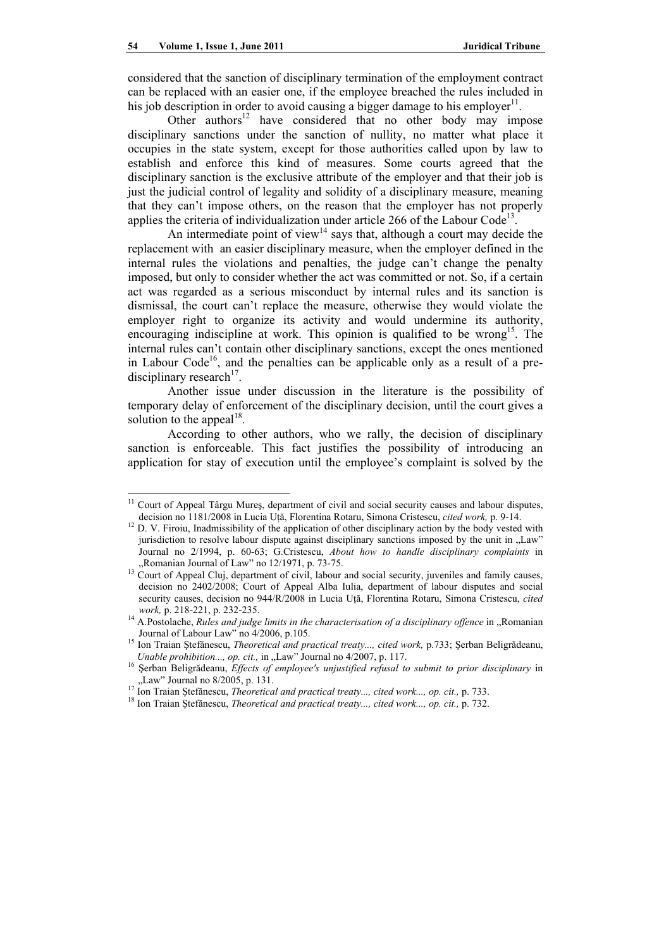$\overline{a}$ 

considered that the sanction of disciplinary termination of the employment contract can be replaced with an easier one, if the employee breached the rules included in his job description in order to avoid causing a bigger damage to his employer<sup>11</sup>.

Other authors<sup>12</sup> have considered that no other body may impose disciplinary sanctions under the sanction of nullity, no matter what place it occupies in the state system, except for those authorities called upon by law to establish and enforce this kind of measures. Some courts agreed that the disciplinary sanction is the exclusive attribute of the employer and that their job is just the judicial control of legality and solidity of a disciplinary measure, meaning that they can't impose others, on the reason that the employer has not properly applies the criteria of individualization under article 266 of the Labour Code<sup>13</sup>.

An intermediate point of view<sup>14</sup> says that, although a court may decide the replacement with an easier disciplinary measure, when the employer defined in the internal rules the violations and penalties, the judge can't change the penalty imposed, but only to consider whether the act was committed or not. So, if a certain act was regarded as a serious misconduct by internal rules and its sanction is dismissal, the court can't replace the measure, otherwise they would violate the employer right to organize its activity and would undermine its authority, encouraging indiscipline at work. This opinion is qualified to be wrong<sup>15</sup>. The internal rules can't contain other disciplinary sanctions, except the ones mentioned in Labour Code<sup>16</sup>, and the penalties can be applicable only as a result of a predisciplinary research<sup>17</sup>.

Another issue under discussion in the literature is the possibility of temporary delay of enforcement of the disciplinary decision, until the court gives a solution to the appeal<sup>18</sup>.

According to other authors, who we rally, the decision of disciplinary sanction is enforceable. This fact justifies the possibility of introducing an application for stay of execution until the employee's complaint is solved by the

Court of Appeal Târgu Mureș, department of civil and social security causes and labour disputes, decision no 1181/2008 in Lucia Uță, Florentina Rotaru, Simona Cristescu, *cited work*, p. 9-14.

<sup>&</sup>lt;sup>12</sup> D. V. Firoiu, Inadmissibility of the application of other disciplinary action by the body vested with jurisdiction to resolve labour dispute against disciplinary sanctions imposed by the unit in "Law" Journal no 2/1994, p. 60-63; G.Cristescu, *About how to handle disciplinary complaints* in "Romanian Journal of Law" no 12/1971, p. 73-75.<br>
<sup>13</sup> Court of Appeal Cluj, department of civil, labour and social security, juveniles and family causes,

decision no 2402/2008; Court of Appeal Alba Iulia, department of labour disputes and social security causes, decision no 944/R/2008 in Lucia Uţă, Florentina Rotaru, Simona Cristescu, *cited* 

*work, p. 218-221, p. 232-235.*<br><sup>14</sup> A.Postolache, *Rules and judge limits in the characterisation of a disciplinary offence* in "Romanian Journal of Labour Law" no 4/2006, p.105.

<sup>&</sup>lt;sup>15</sup> Ion Traian Ștefănescu, *Theoretical and practical treaty..., cited work,* p.733; Șerban Beligrădeanu, *Unable prohibition..., op. cit.,* in "Law" Journal no 4/2007, p. 117.

<sup>&</sup>lt;sup>16</sup> Serban Beligrădeanu, *Effects of employee's unjustified refusal to submit to prior disciplinary* in ".Law" Journal no  $8/2005$ , p. 131.<br>
<sup>17</sup> Ion Traian Ștefănescu, *Theoretical and practical treaty..., cited work..., op. cit., p. 733.*<br>
<sup>18</sup> Ion Traian Ștefănescu, *Theoretical and practical treaty..., cited work..., op*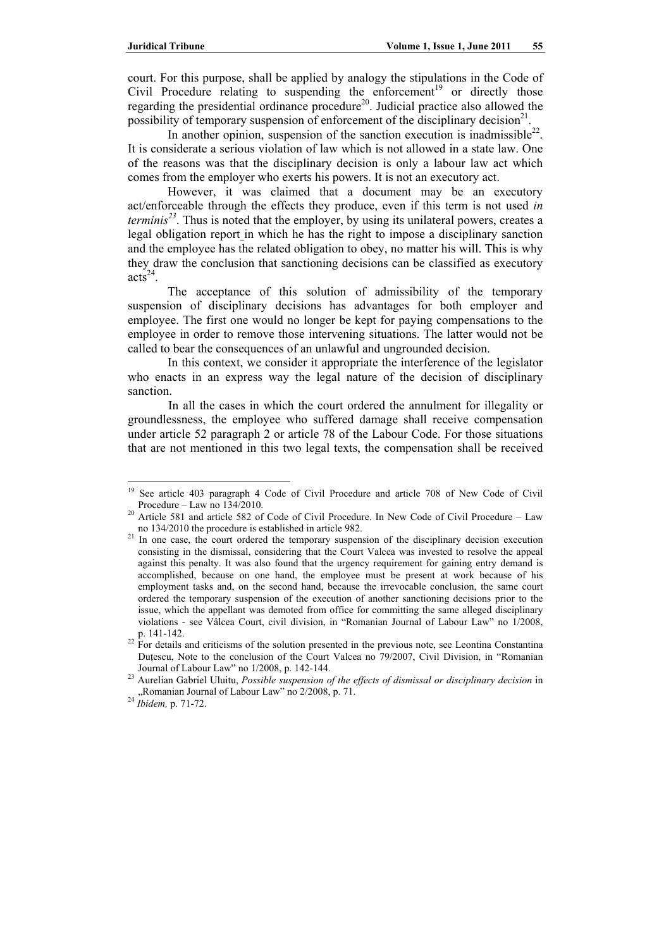court. For this purpose, shall be applied by analogy the stipulations in the Code of Civil Procedure relating to suspending the enforcement<sup>19</sup> or directly those regarding the presidential ordinance procedure<sup>20</sup>. Judicial practice also allowed the possibility of temporary suspension of enforcement of the disciplinary decision<sup>21</sup>.

In another opinion, suspension of the sanction execution is inadmissible<sup>22</sup>. It is considerate a serious violation of law which is not allowed in a state law. One of the reasons was that the disciplinary decision is only a labour law act which comes from the employer who exerts his powers. It is not an executory act.

However, it was claimed that a document may be an executory act/enforceable through the effects they produce, even if this term is not used *in terminis<sup>23</sup>*. Thus is noted that the employer, by using its unilateral powers, creates a legal obligation report in which he has the right to impose a disciplinary sanction and the employee has the related obligation to obey, no matter his will. This is why they draw the conclusion that sanctioning decisions can be classified as executory  $acts<sup>24</sup>$ .

The acceptance of this solution of admissibility of the temporary suspension of disciplinary decisions has advantages for both employer and employee. The first one would no longer be kept for paying compensations to the employee in order to remove those intervening situations. The latter would not be called to bear the consequences of an unlawful and ungrounded decision.

In this context, we consider it appropriate the interference of the legislator who enacts in an express way the legal nature of the decision of disciplinary sanction.

In all the cases in which the court ordered the annulment for illegality or groundlessness, the employee who suffered damage shall receive compensation under article 52 paragraph 2 or article 78 of the Labour Code. For those situations that are not mentioned in this two legal texts, the compensation shall be received

<sup>19</sup> 19 See article 403 paragraph 4 Code of Civil Procedure and article 708 of New Code of Civil

Procedure – Law no 134/2010.<br><sup>20</sup> Article 581 and article 582 of Code of Civil Procedure. In New Code of Civil Procedure – Law

no  $134/2010$  the procedure is established in article 982.<br><sup>21</sup> In one case, the court ordered the temporary suspension of the disciplinary decision execution consisting in the dismissal, considering that the Court Valcea was invested to resolve the appeal against this penalty. It was also found that the urgency requirement for gaining entry demand is accomplished, because on one hand, the employee must be present at work because of his employment tasks and, on the second hand, because the irrevocable conclusion, the same court ordered the temporary suspension of the execution of another sanctioning decisions prior to the issue, which the appellant was demoted from office for committing the same alleged disciplinary violations - see Vâlcea Court, civil division, in "Romanian Journal of Labour Law" no 1/2008,

 $22$  For details and criticisms of the solution presented in the previous note, see Leontina Constantina Duţescu, Note to the conclusion of the Court Valcea no 79/2007, Civil Division, in "Romanian

Journal of Labour Law" no 1/2008, p. 142-144. 23 Aurelian Gabriel Uluitu, *Possible suspension of the effects of dismissal or disciplinary decision* in "Romanian Journal of Labour Law" no 2/2008, p. 71. 24 *Ibidem,* p. 71-72.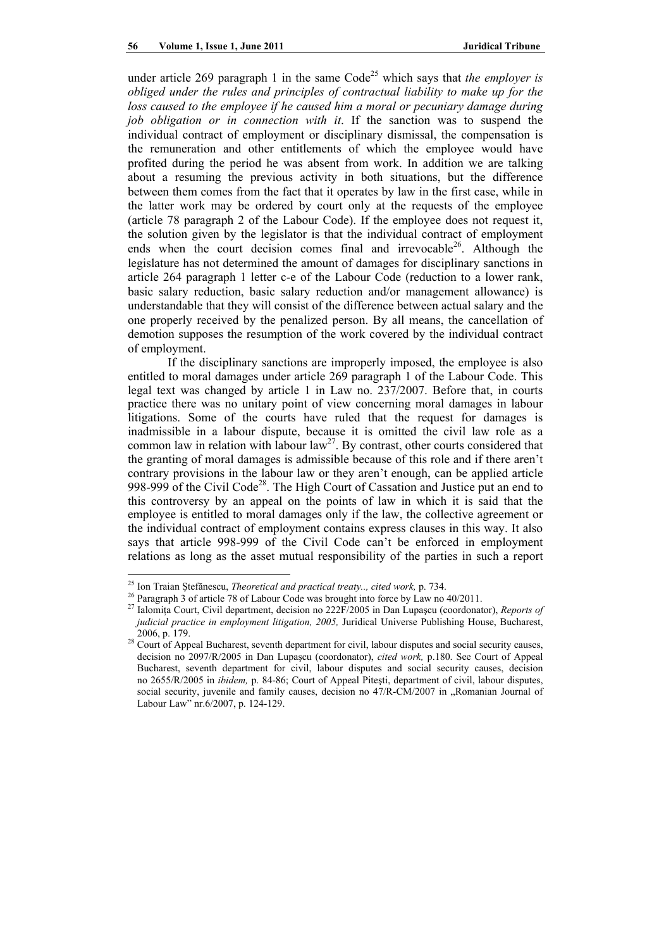under article 269 paragraph 1 in the same  $Code<sup>25</sup>$  which says that *the employer is obliged under the rules and principles of contractual liability to make up for the*  loss caused to the employee if he caused him a moral or pecuniary damage during *job obligation or in connection with it*. If the sanction was to suspend the individual contract of employment or disciplinary dismissal, the compensation is the remuneration and other entitlements of which the employee would have profited during the period he was absent from work. In addition we are talking about a resuming the previous activity in both situations, but the difference between them comes from the fact that it operates by law in the first case, while in the latter work may be ordered by court only at the requests of the employee (article 78 paragraph 2 of the Labour Code). If the employee does not request it, the solution given by the legislator is that the individual contract of employment ends when the court decision comes final and irrevocable<sup>26</sup>. Although the legislature has not determined the amount of damages for disciplinary sanctions in article 264 paragraph 1 letter c-e of the Labour Code (reduction to a lower rank, basic salary reduction, basic salary reduction and/or management allowance) is understandable that they will consist of the difference between actual salary and the one properly received by the penalized person. By all means, the cancellation of demotion supposes the resumption of the work covered by the individual contract of employment.

If the disciplinary sanctions are improperly imposed, the employee is also entitled to moral damages under article 269 paragraph 1 of the Labour Code. This legal text was changed by article 1 in Law no. 237/2007. Before that, in courts practice there was no unitary point of view concerning moral damages in labour litigations. Some of the courts have ruled that the request for damages is inadmissible in a labour dispute, because it is omitted the civil law role as a common law in relation with labour law<sup>27</sup>. By contrast, other courts considered that the granting of moral damages is admissible because of this role and if there aren't contrary provisions in the labour law or they aren't enough, can be applied article 998-999 of the Civil Code<sup>28</sup>. The High Court of Cassation and Justice put an end to this controversy by an appeal on the points of law in which it is said that the employee is entitled to moral damages only if the law, the collective agreement or the individual contract of employment contains express clauses in this way. It also says that article 998-999 of the Civil Code can't be enforced in employment relations as long as the asset mutual responsibility of the parties in such a report

 $\overline{a}$ 

<sup>&</sup>lt;sup>25</sup> Ion Traian Ștefănescu, *Theoretical and practical treaty.., cited work*, p. 734.<br><sup>26</sup> Paragraph 3 of article 78 of Labour Code was brought into force by Law no 40/2011.

<sup>&</sup>lt;sup>27</sup> Ialomita Court, Civil department, decision no 222F/2005 in Dan Lupașcu (coordonator), *Reports of judicial practice in employment litigation, 2005,* Juridical Universe Publishing House, Bucharest,

<sup>2006,</sup> p. 179. 28 Court of Appeal Bucharest, seventh department for civil, labour disputes and social security causes, decision no 2097/R/2005 in Dan Lupaşcu (coordonator), *cited work,* p.180. See Court of Appeal Bucharest, seventh department for civil, labour disputes and social security causes, decision no 2655/R/2005 in *ibidem,* p. 84-86; Court of Appeal Piteşti, department of civil, labour disputes, social security, juvenile and family causes, decision no  $47/R-CM/2007$  in "Romanian Journal of Labour Law" nr.6/2007, p. 124-129.